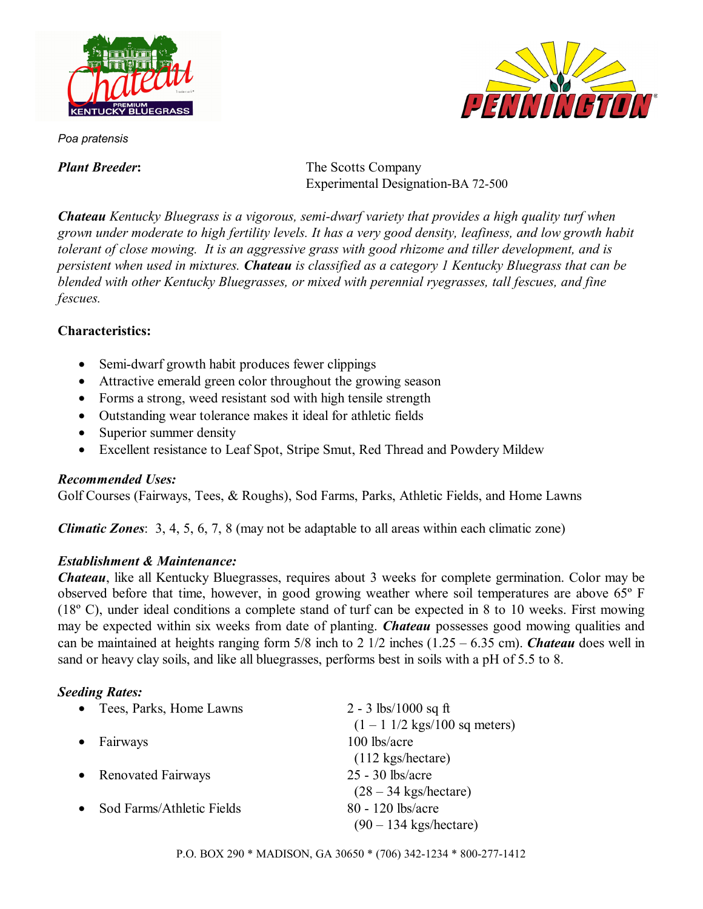



*Poa pratensis* 

*Plant Breeder:* The Scotts Company Experimental Designation-BA 72-500

*Chateau Kentucky Bluegrass is a vigorous, semi-dwarf variety that provides a high quality turf when grown under moderate to high fertility levels. It has a very good density, leafiness, and low growth habit tolerant of close mowing. It is an aggressive grass with good rhizome and tiller development, and is persistent when used in mixtures. Chateau is classified as a category 1 Kentucky Bluegrass that can be blended with other Kentucky Bluegrasses, or mixed with perennial ryegrasses, tall fescues, and fine fescues.* 

### **Characteristics:**

- Semi-dwarf growth habit produces fewer clippings
- Attractive emerald green color throughout the growing season
- Forms a strong, weed resistant sod with high tensile strength
- Outstanding wear tolerance makes it ideal for athletic fields
- Superior summer density
- Excellent resistance to Leaf Spot, Stripe Smut, Red Thread and Powdery Mildew

### *Recommended Uses:*

Golf Courses (Fairways, Tees, & Roughs), Sod Farms, Parks, Athletic Fields, and Home Lawns

*Climatic Zones*: 3, 4, 5, 6, 7, 8 (may not be adaptable to all areas within each climatic zone)

# *Establishment & Maintenance:*

*Chateau*, like all Kentucky Bluegrasses, requires about 3 weeks for complete germination. Color may be observed before that time, however, in good growing weather where soil temperatures are above 65º F (18º C), under ideal conditions a complete stand of turf can be expected in 8 to 10 weeks. First mowing may be expected within six weeks from date of planting. *Chateau* possesses good mowing qualities and can be maintained at heights ranging form 5/8 inch to 2 1/2 inches (1.25 – 6.35 cm). *Chateau* does well in sand or heavy clay soils, and like all bluegrasses, performs best in soils with a pH of 5.5 to 8.

# *Seeding Rates:*

| Tees, Parks, Home Lawns<br>$\bullet$   | 2 - 3 lbs/1000 sq ft                                    |
|----------------------------------------|---------------------------------------------------------|
|                                        | $(1 - 1 \frac{1}{2} \text{ kgs}/100 \text{ sq meters})$ |
| Fairways<br>$\bullet$                  | 100 lbs/acre                                            |
|                                        | $(112 \text{ kgs/hectare})$                             |
| • Renovated Fairways                   | $25 - 30$ lbs/acre                                      |
|                                        | $(28 - 34 \text{ kgs/hectare})$                         |
| Sod Farms/Athletic Fields<br>$\bullet$ | 80 - 120 lbs/acre                                       |
|                                        | $(90 - 134$ kgs/hectare)                                |
|                                        |                                                         |